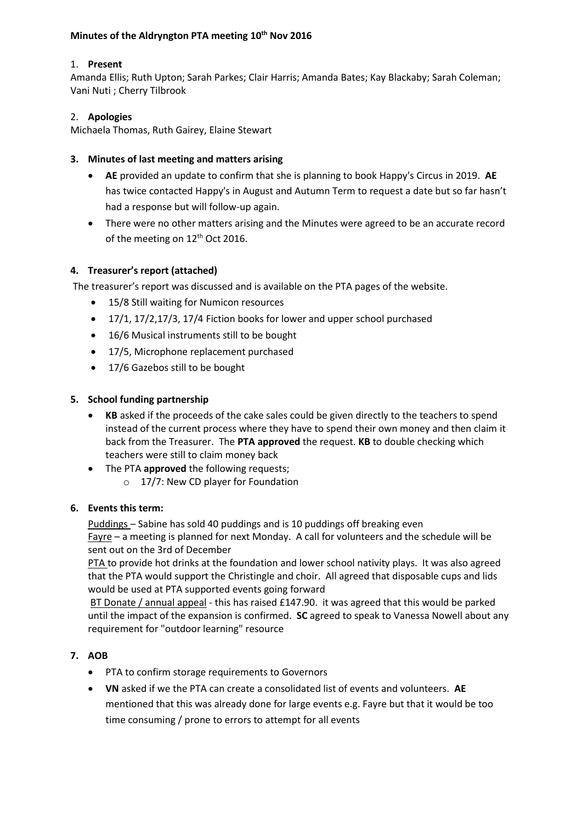### **Minutes of the Aldryngton PTA meeting 10th Nov 2016**

# 1. **Present**

Amanda Ellis; Ruth Upton; Sarah Parkes; Clair Harris; Amanda Bates; Kay Blackaby; Sarah Coleman; Vani Nuti ; Cherry Tilbrook

# 2. **Apologies**

Michaela Thomas, Ruth Gairey, Elaine Stewart

# **3. Minutes of last meeting and matters arising**

- **AE** provided an update to confirm that she is planning to book Happy's Circus in 2019. **AE** has twice contacted Happy's in August and Autumn Term to request a date but so far hasn't had a response but will follow-up again.
- There were no other matters arising and the Minutes were agreed to be an accurate record of the meeting on 12<sup>th</sup> Oct 2016.

### **4. Treasurer's report (attached)**

The treasurer's report was discussed and is available on the PTA pages of the website.

- 15/8 Still waiting for Numicon resources
- 17/1, 17/2,17/3, 17/4 Fiction books for lower and upper school purchased
- 16/6 Musical instruments still to be bought
- 17/5, Microphone replacement purchased
- 17/6 Gazebos still to be bought

### **5. School funding partnership**

- **KB** asked if the proceeds of the cake sales could be given directly to the teachers to spend instead of the current process where they have to spend their own money and then claim it back from the Treasurer. The **PTA approved** the request. **KB** to double checking which teachers were still to claim money back
- The PTA **approved** the following requests;
	- o 17/7: New CD player for Foundation

#### **6. Events this term:**

Puddings – Sabine has sold 40 puddings and is 10 puddings off breaking even Fayre – a meeting is planned for next Monday. A call for volunteers and the schedule will be sent out on the 3rd of December

PTA to provide hot drinks at the foundation and lower school nativity plays. It was also agreed that the PTA would support the Christingle and choir. All agreed that disposable cups and lids would be used at PTA supported events going forward

BT Donate / annual appeal - this has raised £147.90. it was agreed that this would be parked until the impact of the expansion is confirmed. **SC** agreed to speak to Vanessa Nowell about any requirement for "outdoor learning" resource

# **7. AOB**

- PTA to confirm storage requirements to Governors
- **VN** asked if we the PTA can create a consolidated list of events and volunteers. **AE** mentioned that this was already done for large events e.g. Fayre but that it would be too time consuming / prone to errors to attempt for all events